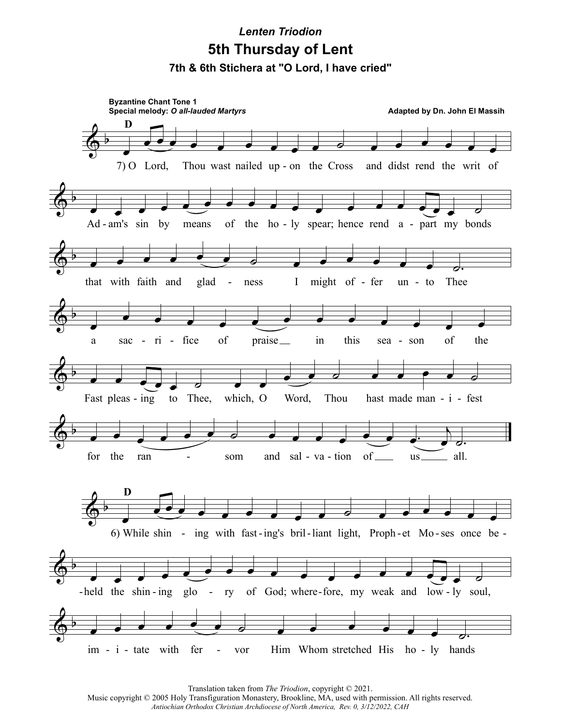## **7th & 6th Stichera at "O Lord, I have cried" 5th Thursday of Lent** *Lenten Triodion*



Translation taken from *The Triodion*, copyright © 2021.

Music copyright © 2005 Holy Transfiguration Monastery, Brookline, MA, used with permission. All rights reserved. *Antiochian Orthodox Christian Archdiocese of North America, Rev. 0, 3/12/2022, CAH*